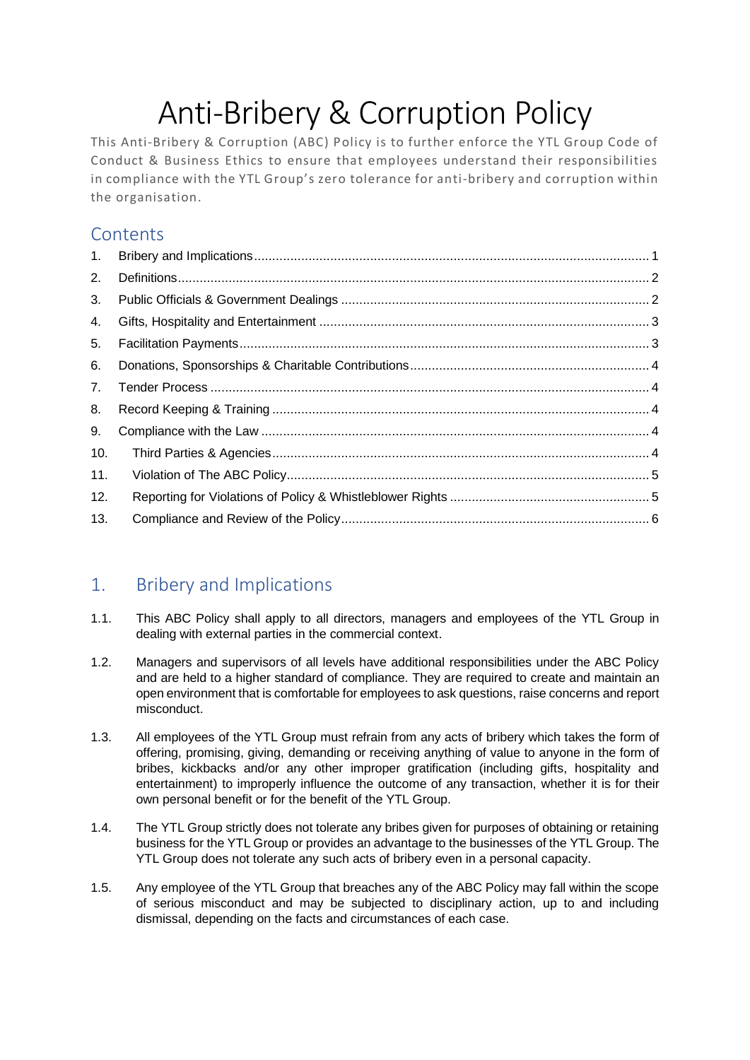# Anti-Bribery & Corruption Policy

This Anti-Bribery & Corruption (ABC) Policy is to further enforce the YTL Group Code of Conduct & Business Ethics to ensure that employees understand their responsibilities in compliance with the YTL Group's zero tolerance for anti-bribery and corruption within the organisation.

## **Contents**

| 1.  |  |
|-----|--|
| 2.  |  |
| 3.  |  |
| 4.  |  |
| 5.  |  |
| 6.  |  |
| 7.  |  |
| 8.  |  |
| 9.  |  |
| 10. |  |
| 11. |  |
| 12. |  |
| 13. |  |

# <span id="page-0-0"></span>1. Bribery and Implications

- 1.1. This ABC Policy shall apply to all directors, managers and employees of the YTL Group in dealing with external parties in the commercial context.
- 1.2. Managers and supervisors of all levels have additional responsibilities under the ABC Policy and are held to a higher standard of compliance. They are required to create and maintain an open environment that is comfortable for employees to ask questions, raise concerns and report misconduct.
- 1.3. All employees of the YTL Group must refrain from any acts of bribery which takes the form of offering, promising, giving, demanding or receiving anything of value to anyone in the form of bribes, kickbacks and/or any other improper gratification (including gifts, hospitality and entertainment) to improperly influence the outcome of any transaction, whether it is for their own personal benefit or for the benefit of the YTL Group.
- 1.4. The YTL Group strictly does not tolerate any bribes given for purposes of obtaining or retaining business for the YTL Group or provides an advantage to the businesses of the YTL Group. The YTL Group does not tolerate any such acts of bribery even in a personal capacity.
- 1.5. Any employee of the YTL Group that breaches any of the ABC Policy may fall within the scope of serious misconduct and may be subjected to disciplinary action, up to and including dismissal, depending on the facts and circumstances of each case.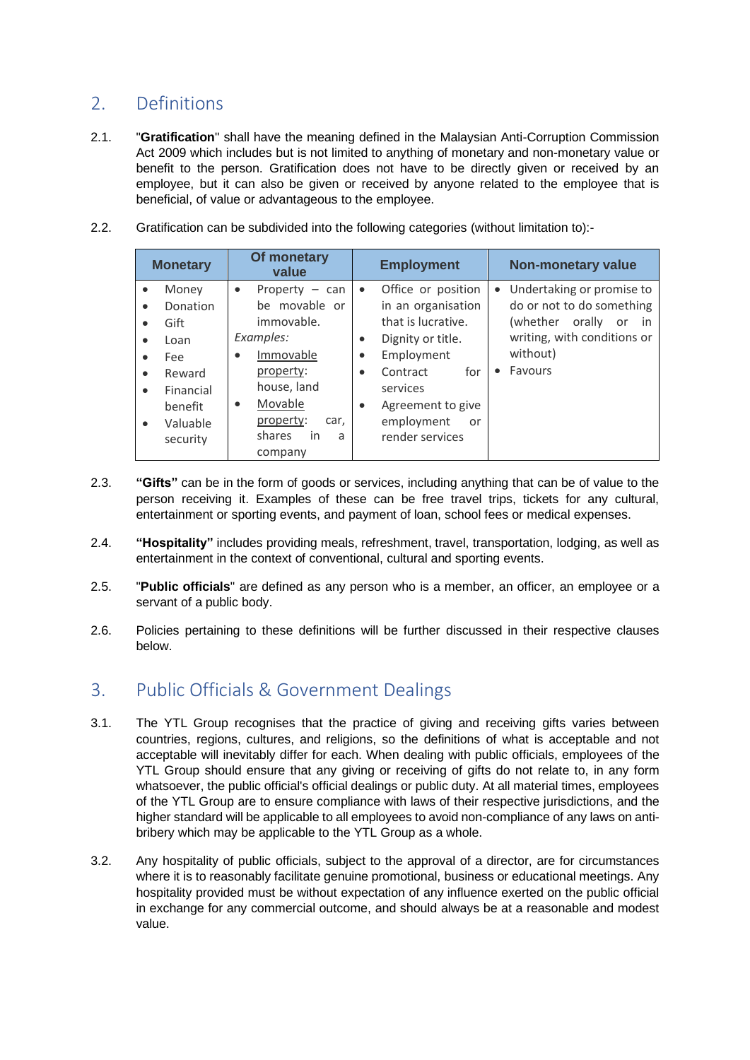## <span id="page-1-0"></span>2. Definitions

- 2.1. "**Gratification**" shall have the meaning defined in the Malaysian Anti-Corruption Commission Act 2009 which includes but is not limited to anything of monetary and non-monetary value or benefit to the person. Gratification does not have to be directly given or received by an employee, but it can also be given or received by anyone related to the employee that is beneficial, of value or advantageous to the employee.
- 2.2. Gratification can be subdivided into the following categories (without limitation to):-

| <b>Monetary</b>                                                                                    | Of monetary<br>value                                                                                                                                                                                         | <b>Employment</b>                                                                                                                                                                                                                                             | <b>Non-monetary value</b>                                                                                                                                                  |
|----------------------------------------------------------------------------------------------------|--------------------------------------------------------------------------------------------------------------------------------------------------------------------------------------------------------------|---------------------------------------------------------------------------------------------------------------------------------------------------------------------------------------------------------------------------------------------------------------|----------------------------------------------------------------------------------------------------------------------------------------------------------------------------|
| Money<br>Donation<br>Gift<br>Loan<br>Fee<br>Reward<br>Financial<br>benefit<br>Valuable<br>security | Property $-$ can<br>$\bullet$<br>be movable or<br>immovable.<br>Examples:<br>Immovable<br>$\bullet$<br>property:<br>house, land<br>Movable<br>$\bullet$<br>property:<br>car,<br>shares<br>in<br>a<br>company | Office or position<br>$\bullet$<br>in an organisation<br>that is lucrative.<br>Dignity or title.<br>$\bullet$<br>Employment<br>$\bullet$<br>for<br>Contract<br>$\bullet$<br>services<br>Agreement to give<br>$\bullet$<br>employment<br>or<br>render services | Undertaking or promise to<br>$\bullet$<br>do or not to do something<br>(whether)<br>orally<br>in.<br>or<br>writing, with conditions or<br>without)<br>Favours<br>$\bullet$ |

- 2.3. **"Gifts"** can be in the form of goods or services, including anything that can be of value to the person receiving it. Examples of these can be free travel trips, tickets for any cultural, entertainment or sporting events, and payment of loan, school fees or medical expenses.
- 2.4. **"Hospitality"** includes providing meals, refreshment, travel, transportation, lodging, as well as entertainment in the context of conventional, cultural and sporting events.
- 2.5. "**Public officials**" are defined as any person who is a member, an officer, an employee or a servant of a public body.
- 2.6. Policies pertaining to these definitions will be further discussed in their respective clauses below.

#### <span id="page-1-1"></span>3. Public Officials & Government Dealings

- 3.1. The YTL Group recognises that the practice of giving and receiving gifts varies between countries, regions, cultures, and religions, so the definitions of what is acceptable and not acceptable will inevitably differ for each. When dealing with public officials, employees of the YTL Group should ensure that any giving or receiving of gifts do not relate to, in any form whatsoever, the public official's official dealings or public duty. At all material times, employees of the YTL Group are to ensure compliance with laws of their respective jurisdictions, and the higher standard will be applicable to all employees to avoid non-compliance of any laws on antibribery which may be applicable to the YTL Group as a whole.
- 3.2. Any hospitality of public officials, subject to the approval of a director, are for circumstances where it is to reasonably facilitate genuine promotional, business or educational meetings. Any hospitality provided must be without expectation of any influence exerted on the public official in exchange for any commercial outcome, and should always be at a reasonable and modest value.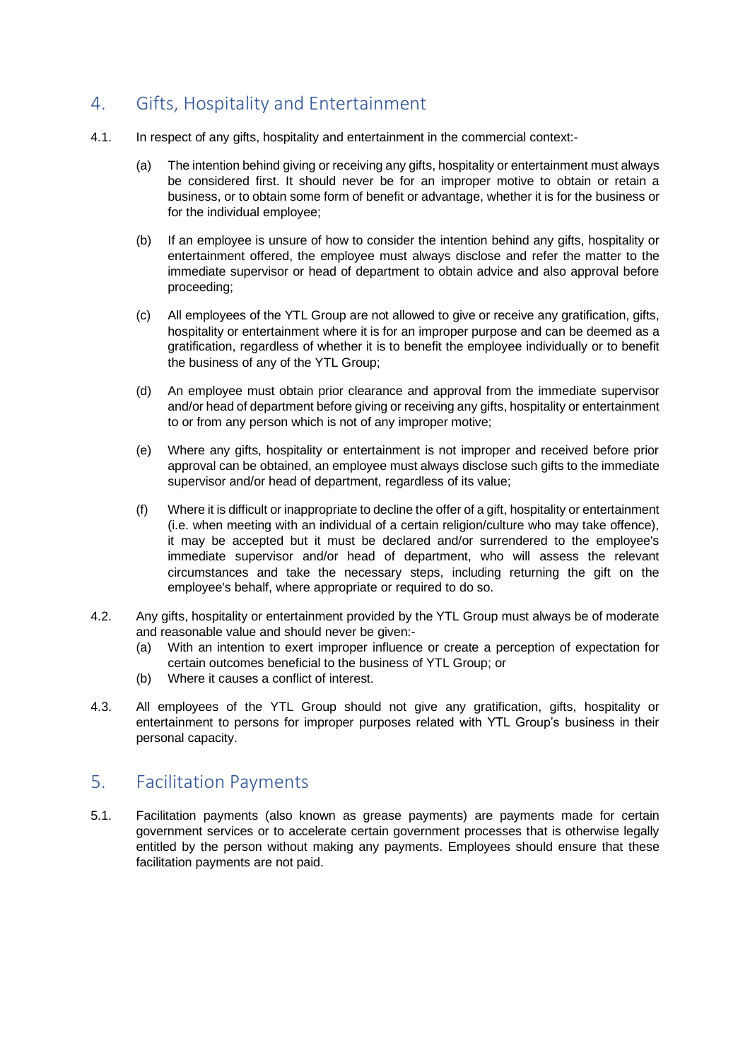## <span id="page-2-0"></span>4. Gifts, Hospitality and Entertainment

- 4.1. In respect of any gifts, hospitality and entertainment in the commercial context:-
	- (a) The intention behind giving or receiving any gifts, hospitality or entertainment must always be considered first. It should never be for an improper motive to obtain or retain a business, or to obtain some form of benefit or advantage, whether it is for the business or for the individual employee;
	- (b) If an employee is unsure of how to consider the intention behind any gifts, hospitality or entertainment offered, the employee must always disclose and refer the matter to the immediate supervisor or head of department to obtain advice and also approval before proceeding;
	- (c) All employees of the YTL Group are not allowed to give or receive any gratification, gifts, hospitality or entertainment where it is for an improper purpose and can be deemed as a gratification, regardless of whether it is to benefit the employee individually or to benefit the business of any of the YTL Group;
	- (d) An employee must obtain prior clearance and approval from the immediate supervisor and/or head of department before giving or receiving any gifts, hospitality or entertainment to or from any person which is not of any improper motive;
	- (e) Where any gifts, hospitality or entertainment is not improper and received before prior approval can be obtained, an employee must always disclose such gifts to the immediate supervisor and/or head of department, regardless of its value;
	- (f) Where it is difficult or inappropriate to decline the offer of a gift, hospitality or entertainment (i.e. when meeting with an individual of a certain religion/culture who may take offence), it may be accepted but it must be declared and/or surrendered to the employee's immediate supervisor and/or head of department, who will assess the relevant circumstances and take the necessary steps, including returning the gift on the employee's behalf, where appropriate or required to do so.
- 4.2. Any gifts, hospitality or entertainment provided by the YTL Group must always be of moderate and reasonable value and should never be given:-
	- (a) With an intention to exert improper influence or create a perception of expectation for certain outcomes beneficial to the business of YTL Group; or
	- (b) Where it causes a conflict of interest.
- 4.3. All employees of the YTL Group should not give any gratification, gifts, hospitality or entertainment to persons for improper purposes related with YTL Group's business in their personal capacity.

#### <span id="page-2-1"></span>5. Facilitation Payments

5.1. Facilitation payments (also known as grease payments) are payments made for certain government services or to accelerate certain government processes that is otherwise legally entitled by the person without making any payments. Employees should ensure that these facilitation payments are not paid.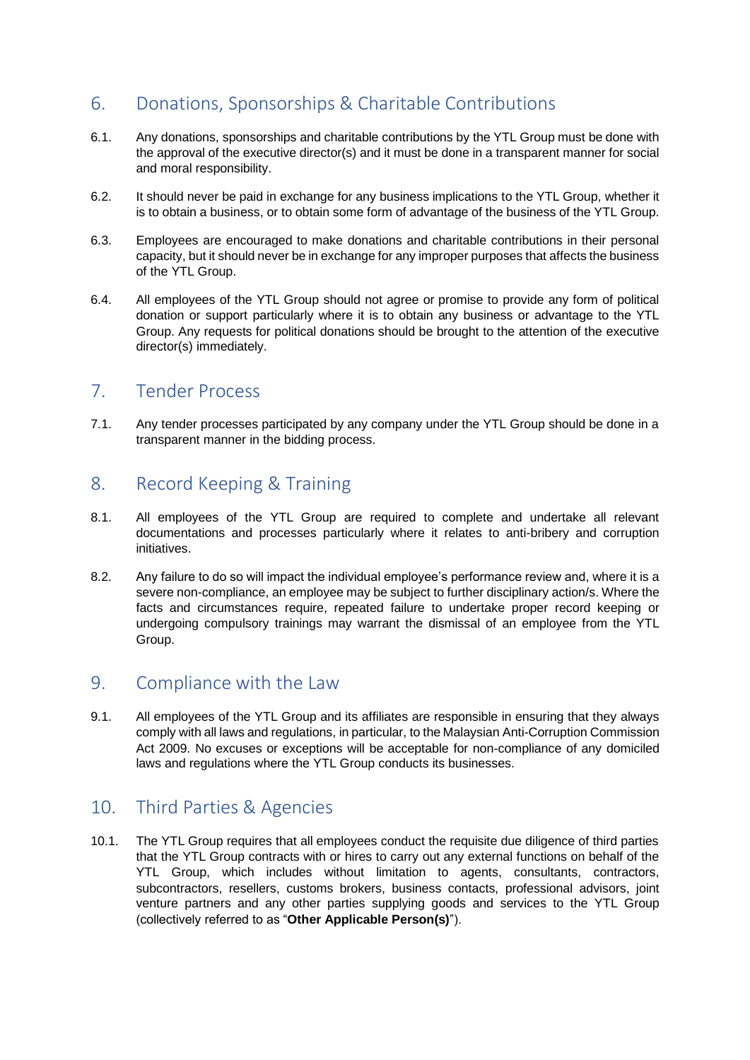## <span id="page-3-0"></span>6. Donations, Sponsorships & Charitable Contributions

- 6.1. Any donations, sponsorships and charitable contributions by the YTL Group must be done with the approval of the executive director(s) and it must be done in a transparent manner for social and moral responsibility.
- 6.2. It should never be paid in exchange for any business implications to the YTL Group, whether it is to obtain a business, or to obtain some form of advantage of the business of the YTL Group.
- 6.3. Employees are encouraged to make donations and charitable contributions in their personal capacity, but it should never be in exchange for any improper purposes that affects the business of the YTL Group.
- 6.4. All employees of the YTL Group should not agree or promise to provide any form of political donation or support particularly where it is to obtain any business or advantage to the YTL Group. Any requests for political donations should be brought to the attention of the executive director(s) immediately.

#### <span id="page-3-1"></span>7. Tender Process

7.1. Any tender processes participated by any company under the YTL Group should be done in a transparent manner in the bidding process.

#### <span id="page-3-2"></span>8. Record Keeping & Training

- 8.1. All employees of the YTL Group are required to complete and undertake all relevant documentations and processes particularly where it relates to anti-bribery and corruption initiatives.
- 8.2. Any failure to do so will impact the individual employee's performance review and, where it is a severe non-compliance, an employee may be subject to further disciplinary action/s. Where the facts and circumstances require, repeated failure to undertake proper record keeping or undergoing compulsory trainings may warrant the dismissal of an employee from the YTL Group.

#### <span id="page-3-3"></span>9. Compliance with the Law

9.1. All employees of the YTL Group and its affiliates are responsible in ensuring that they always comply with all laws and regulations, in particular, to the Malaysian Anti-Corruption Commission Act 2009. No excuses or exceptions will be acceptable for non-compliance of any domiciled laws and regulations where the YTL Group conducts its businesses.

#### <span id="page-3-4"></span>10. Third Parties & Agencies

10.1. The YTL Group requires that all employees conduct the requisite due diligence of third parties that the YTL Group contracts with or hires to carry out any external functions on behalf of the YTL Group, which includes without limitation to agents, consultants, contractors, subcontractors, resellers, customs brokers, business contacts, professional advisors, joint venture partners and any other parties supplying goods and services to the YTL Group (collectively referred to as "**Other Applicable Person(s)**").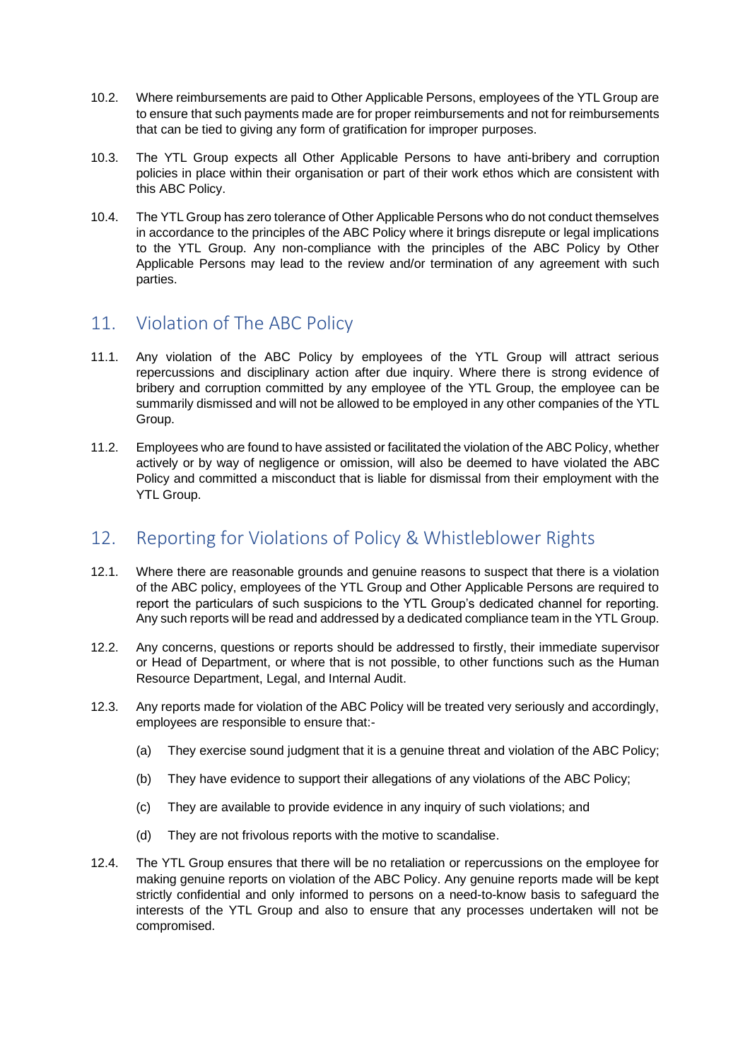- 10.2. Where reimbursements are paid to Other Applicable Persons, employees of the YTL Group are to ensure that such payments made are for proper reimbursements and not for reimbursements that can be tied to giving any form of gratification for improper purposes.
- 10.3. The YTL Group expects all Other Applicable Persons to have anti-bribery and corruption policies in place within their organisation or part of their work ethos which are consistent with this ABC Policy.
- 10.4. The YTL Group has zero tolerance of Other Applicable Persons who do not conduct themselves in accordance to the principles of the ABC Policy where it brings disrepute or legal implications to the YTL Group. Any non-compliance with the principles of the ABC Policy by Other Applicable Persons may lead to the review and/or termination of any agreement with such parties.

#### <span id="page-4-0"></span>11. Violation of The ABC Policy

- 11.1. Any violation of the ABC Policy by employees of the YTL Group will attract serious repercussions and disciplinary action after due inquiry. Where there is strong evidence of bribery and corruption committed by any employee of the YTL Group, the employee can be summarily dismissed and will not be allowed to be employed in any other companies of the YTL Group.
- 11.2. Employees who are found to have assisted or facilitated the violation of the ABC Policy, whether actively or by way of negligence or omission, will also be deemed to have violated the ABC Policy and committed a misconduct that is liable for dismissal from their employment with the YTL Group.

## <span id="page-4-1"></span>12. Reporting for Violations of Policy & Whistleblower Rights

- 12.1. Where there are reasonable grounds and genuine reasons to suspect that there is a violation of the ABC policy, employees of the YTL Group and Other Applicable Persons are required to report the particulars of such suspicions to the YTL Group's dedicated channel for reporting. Any such reports will be read and addressed by a dedicated compliance team in the YTL Group.
- 12.2. Any concerns, questions or reports should be addressed to firstly, their immediate supervisor or Head of Department, or where that is not possible, to other functions such as the Human Resource Department, Legal, and Internal Audit.
- 12.3. Any reports made for violation of the ABC Policy will be treated very seriously and accordingly, employees are responsible to ensure that:-
	- (a) They exercise sound judgment that it is a genuine threat and violation of the ABC Policy;
	- (b) They have evidence to support their allegations of any violations of the ABC Policy;
	- (c) They are available to provide evidence in any inquiry of such violations; and
	- (d) They are not frivolous reports with the motive to scandalise.
- 12.4. The YTL Group ensures that there will be no retaliation or repercussions on the employee for making genuine reports on violation of the ABC Policy. Any genuine reports made will be kept strictly confidential and only informed to persons on a need-to-know basis to safeguard the interests of the YTL Group and also to ensure that any processes undertaken will not be compromised.